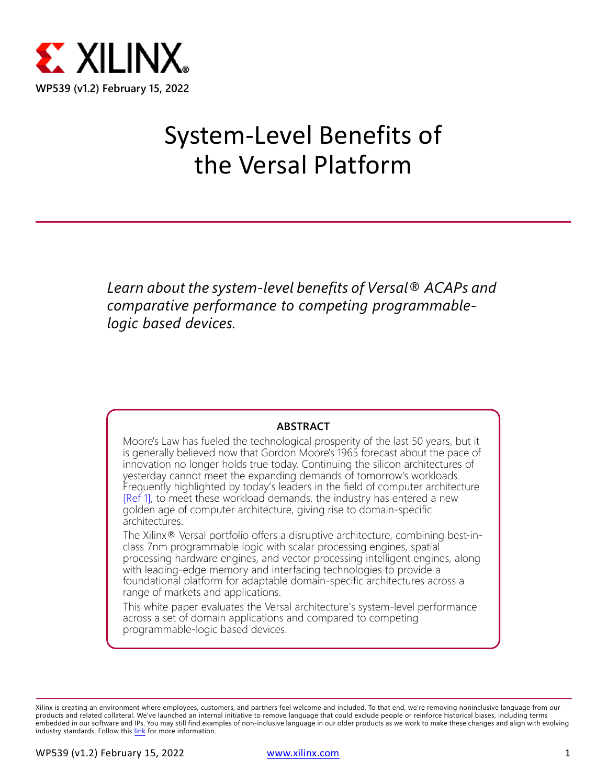

# System-Level Benefits of the Versal Platform

*Learn about the system-level benefits of Versal® ACAPs and comparative performance to competing programmablelogic based devices.*

#### **ABSTRACT**

Moore's Law has fueled the technological prosperity of the last 50 years, but it is generally believed now that Gordon Moore's 1965 forecast about the pace of innovation no longer holds true today. Continuing the silicon architectures of yesterday cannot meet the expanding demands of tomorrow's workloads. Frequently highlighted by today's leaders in the field of computer architecture [\[Ref 1\]](#page-12-0), to meet these workload demands, the industry has entered a new golden age of computer architecture, giving rise to domain-specific architectures.

The Xilinx® Versal portfolio offers a disruptive architecture, combining best-inclass 7nm programmable logic with scalar processing engines, spatial processing hardware engines, and vector processing intelligent engines, along with leading-edge memory and interfacing technologies to provide a foundational platform for adaptable domain-specific architectures across a range of markets and applications.

This white paper evaluates the Versal architecture's system-level performance across a set of domain applications and compared to competing programmable-logic based devices.

Xilinx is creating an environment where employees, customers, and partners feel welcome and included. To that end, we're removing noninclusive language from our products and related collateral. We've launched an internal initiative to remove language that could exclude people or reinforce historical biases, including terms embedded in our software and IPs. You may still find examples of non-inclusive language in our older products as we work to make these changes and align with evolving industry standards. Follow this [link](https://www.xilinx.com/content/dam/xilinx/publications/about/Inclusive-terminology.pdf) for more information.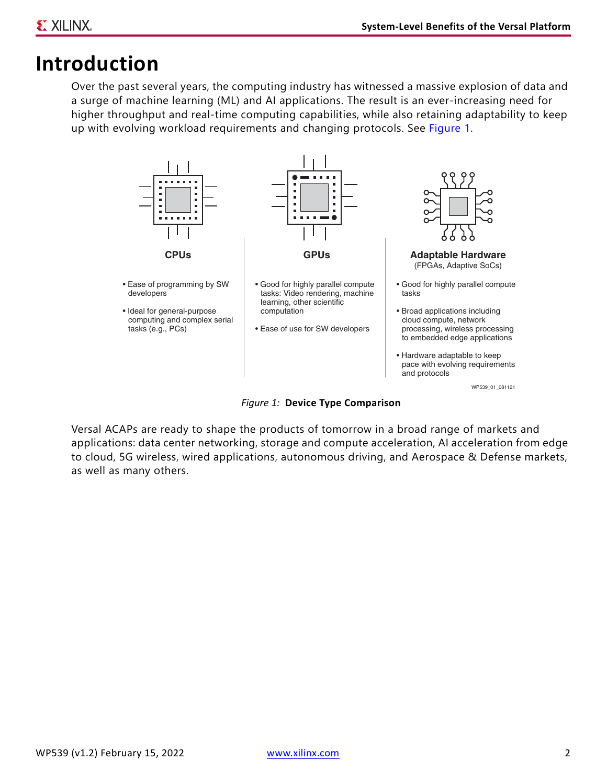## **Introduction**

Over the past several years, the computing industry has witnessed a massive explosion of data and a surge of machine learning (ML) and AI applications. The result is an ever-increasing need for higher throughput and real-time computing capabilities, while also retaining adaptability to keep up with evolving workload requirements and changing protocols. See [Figure 1.](#page-1-0)

<span id="page-1-0"></span>

*Figure 1:* **Device Type Comparison**

Versal ACAPs are ready to shape the products of tomorrow in a broad range of markets and applications: data center networking, storage and compute acceleration, AI acceleration from edge to cloud, 5G wireless, wired applications, autonomous driving, and Aerospace & Defense markets, as well as many others.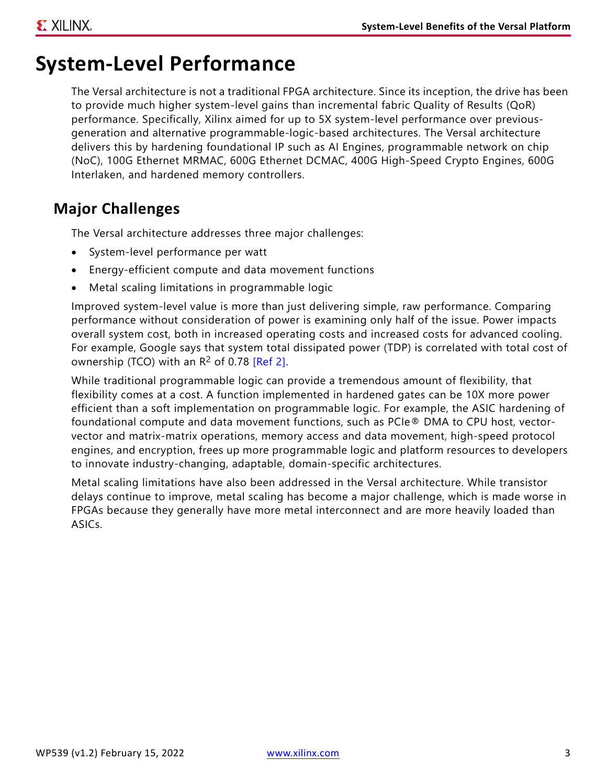### **System-Level Performance**

The Versal architecture is not a traditional FPGA architecture. Since its inception, the drive has been to provide much higher system-level gains than incremental fabric Quality of Results (QoR) performance. Specifically, Xilinx aimed for up to 5X system-level performance over previousgeneration and alternative programmable-logic-based architectures. The Versal architecture delivers this by hardening foundational IP such as AI Engines, programmable network on chip (NoC), 100G Ethernet MRMAC, 600G Ethernet DCMAC, 400G High-Speed Crypto Engines, 600G Interlaken, and hardened memory controllers.

### **Major Challenges**

The Versal architecture addresses three major challenges:

- System-level performance per watt
- Energy-efficient compute and data movement functions
- Metal scaling limitations in programmable logic

Improved system-level value is more than just delivering simple, raw performance. Comparing performance without consideration of power is examining only half of the issue. Power impacts overall system cost, both in increased operating costs and increased costs for advanced cooling. For example, Google says that system total dissipated power (TDP) is correlated with total cost of ownership (TCO) with an  $R^2$  of 0.78 [\[Ref 2\]](#page-12-1).

While traditional programmable logic can provide a tremendous amount of flexibility, that flexibility comes at a cost. A function implemented in hardened gates can be 10X more power efficient than a soft implementation on programmable logic. For example, the ASIC hardening of foundational compute and data movement functions, such as PCIe® DMA to CPU host, vectorvector and matrix-matrix operations, memory access and data movement, high-speed protocol engines, and encryption, frees up more programmable logic and platform resources to developers to innovate industry-changing, adaptable, domain-specific architectures.

Metal scaling limitations have also been addressed in the Versal architecture. While transistor delays continue to improve, metal scaling has become a major challenge, which is made worse in FPGAs because they generally have more metal interconnect and are more heavily loaded than ASICs.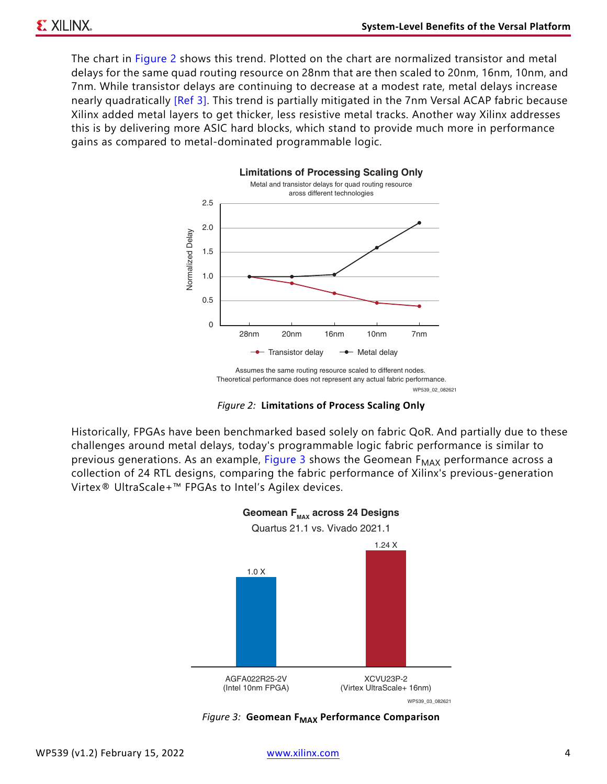<span id="page-3-1"></span>The chart in [Figure 2](#page-3-1) shows this trend. Plotted on the chart are normalized transistor and metal delays for the same quad routing resource on 28nm that are then scaled to 20nm, 16nm, 10nm, and 7nm. While transistor delays are continuing to decrease at a modest rate, metal delays increase nearly quadratically [\[Ref 3\].](#page-12-2) This trend is partially mitigated in the 7nm Versal ACAP fabric because Xilinx added metal layers to get thicker, less resistive metal tracks. Another way Xilinx addresses this is by delivering more ASIC hard blocks, which stand to provide much more in performance gains as compared to metal-dominated programmable logic.



WP539\_02\_082621 Assumes the same routing resource scaled to different nodes. Theoretical performance does not represent any actual fabric performance.

*Figure 2:* **Limitations of Process Scaling Only**

<span id="page-3-0"></span>Historically, FPGAs have been benchmarked based solely on fabric QoR. And partially due to these challenges around metal delays, today's programmable logic fabric performance is similar to previous generations. As an example, [Figure 3](#page-3-0) shows the Geomean  $F_{MAX}$  performance across a collection of 24 RTL designs, comparing the fabric performance of Xilinx's previous-generation Virtex® UltraScale+™ FPGAs to Intel's Agilex devices.



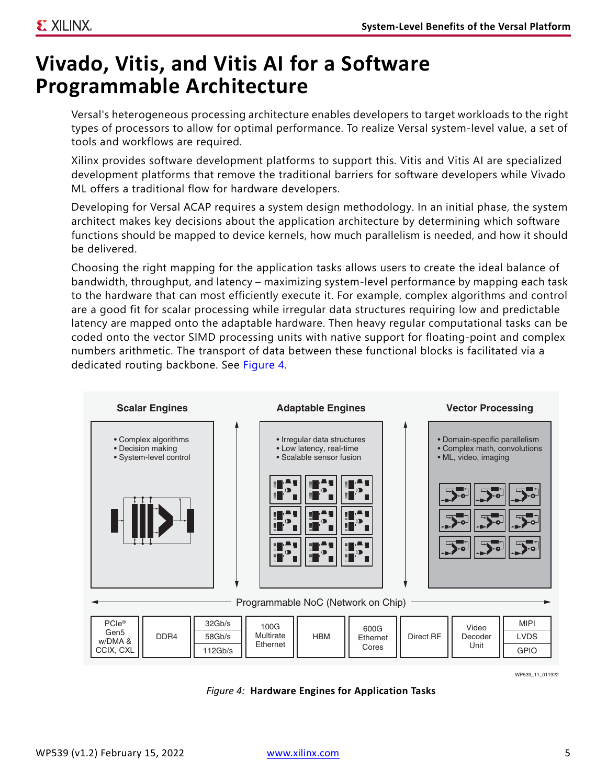## <span id="page-4-1"></span>**Vivado, Vitis, and Vitis AI for a Software Programmable Architecture**

Versal's heterogeneous processing architecture enables developers to target workloads to the right types of processors to allow for optimal performance. To realize Versal system-level value, a set of tools and workflows are required.

Xilinx provides software development platforms to support this. Vitis and Vitis AI are specialized development platforms that remove the traditional barriers for software developers while Vivado ML offers a traditional flow for hardware developers.

Developing for Versal ACAP requires a system design methodology. In an initial phase, the system architect makes key decisions about the application architecture by determining which software functions should be mapped to device kernels, how much parallelism is needed, and how it should be delivered.

Choosing the right mapping for the application tasks allows users to create the ideal balance of bandwidth, throughput, and latency – maximizing system-level performance by mapping each task to the hardware that can most efficiently execute it. For example, complex algorithms and control are a good fit for scalar processing while irregular data structures requiring low and predictable latency are mapped onto the adaptable hardware. Then heavy regular computational tasks can be coded onto the vector SIMD processing units with native support for floating-point and complex numbers arithmetic. The transport of data between these functional blocks is facilitated via a dedicated routing backbone. See [Figure 4](#page-4-0).

<span id="page-4-0"></span>

WP539\_11\_011922

*Figure 4:* **Hardware Engines for Application Tasks**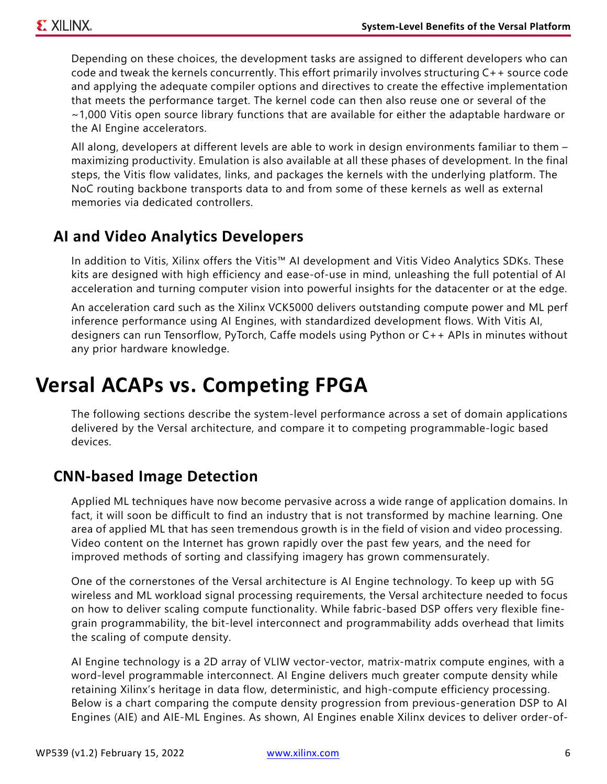Depending on these choices, the development tasks are assigned to different developers who can code and tweak the kernels concurrently. This effort primarily involves structuring C++ source code and applying the adequate compiler options and directives to create the effective implementation that meets the performance target. The kernel code can then also reuse one or several of the ~1,000 Vitis open source library functions that are available for either the adaptable hardware or the AI Engine accelerators.

All along, developers at different levels are able to work in design environments familiar to them – maximizing productivity. Emulation is also available at all these phases of development. In the final steps, the Vitis flow validates, links, and packages the kernels with the underlying platform. The NoC routing backbone transports data to and from some of these kernels as well as external memories via dedicated controllers.

### **AI and Video Analytics Developers**

In addition to Vitis, Xilinx offers the Vitis™ AI development and Vitis Video Analytics SDKs. These kits are designed with high efficiency and ease-of-use in mind, unleashing the full potential of AI acceleration and turning computer vision into powerful insights for the datacenter or at the edge.

An acceleration card such as the Xilinx VCK5000 delivers outstanding compute power and ML perf inference performance using AI Engines, with standardized development flows. With Vitis AI, designers can run Tensorflow, PyTorch, Caffe models using Python or C++ APIs in minutes without any prior hardware knowledge.

### **Versal ACAPs vs. Competing FPGA**

The following sections describe the system-level performance across a set of domain applications delivered by the Versal architecture, and compare it to competing programmable-logic based devices.

### **CNN-based Image Detection**

Applied ML techniques have now become pervasive across a wide range of application domains. In fact, it will soon be difficult to find an industry that is not transformed by machine learning. One area of applied ML that has seen tremendous growth is in the field of vision and video processing. Video content on the Internet has grown rapidly over the past few years, and the need for improved methods of sorting and classifying imagery has grown commensurately.

One of the cornerstones of the Versal architecture is AI Engine technology. To keep up with 5G wireless and ML workload signal processing requirements, the Versal architecture needed to focus on how to deliver scaling compute functionality. While fabric-based DSP offers very flexible finegrain programmability, the bit-level interconnect and programmability adds overhead that limits the scaling of compute density.

AI Engine technology is a 2D array of VLIW vector-vector, matrix-matrix compute engines, with a word-level programmable interconnect. AI Engine delivers much greater compute density while retaining Xilinx's heritage in data flow, deterministic, and high-compute efficiency processing. Below is a chart comparing the compute density progression from previous-generation DSP to AI Engines (AIE) and AIE-ML Engines. As shown, AI Engines enable Xilinx devices to deliver order-of-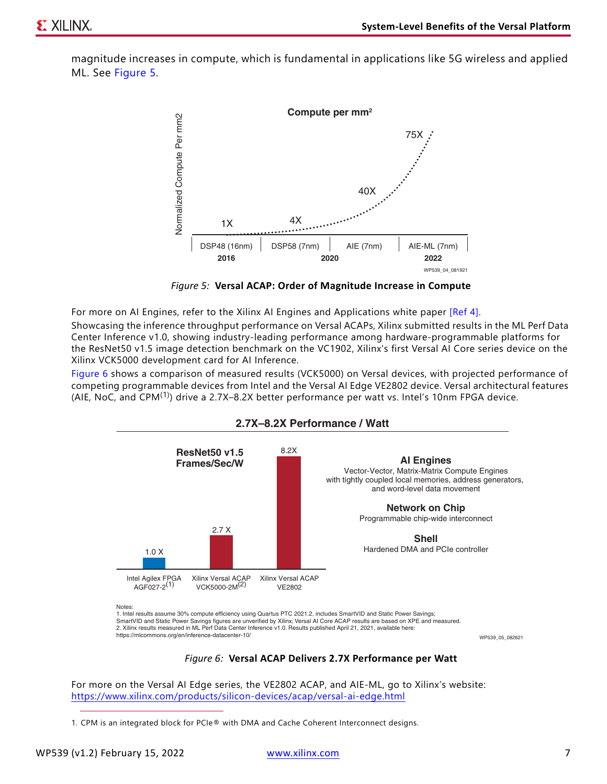<span id="page-6-0"></span>magnitude increases in compute, which is fundamental in applications like 5G wireless and applied ML. See [Figure 5](#page-6-0).



*Figure 5:* **Versal ACAP: Order of Magnitude Increase in Compute**

For more on AI Engines, refer to the Xilinx AI Engines and Applications white paper [\[Ref 4\]](#page-12-3). Showcasing the inference throughput performance on Versal ACAPs, Xilinx submitted results in the ML Perf Data Center Inference v1.0, showing industry-leading performance among hardware-programmable platforms for the ResNet50 v1.5 image detection benchmark on the VC1902, Xilinx's first Versal AI Core series device on the Xilinx VCK5000 development card for AI Inference.

<span id="page-6-1"></span>[Figure 6](#page-6-1) shows a comparison of measured results (VCK5000) on Versal devices, with projected performance of competing programmable devices from Intel and the Versal AI Edge VE2802 device. Versal architectural features (AIE, NoC, and CPM(1)) drive a 2.7X–8.2X better performance per watt vs. Intel's 10nm FPGA device.



#### **2.7X–8.2X Performance / Watt**

*Figure 6:* **Versal ACAP Delivers 2.7X Performance per Watt**

For more on the Versal AI Edge series, the VE2802 ACAP, and AIE-ML, go to Xilinx's website: <https://www.xilinx.com/products/silicon-devices/acap/versal-ai-edge.html>

<sup>1.</sup> CPM is an integrated block for PCIe® with DMA and Cache Coherent Interconnect designs.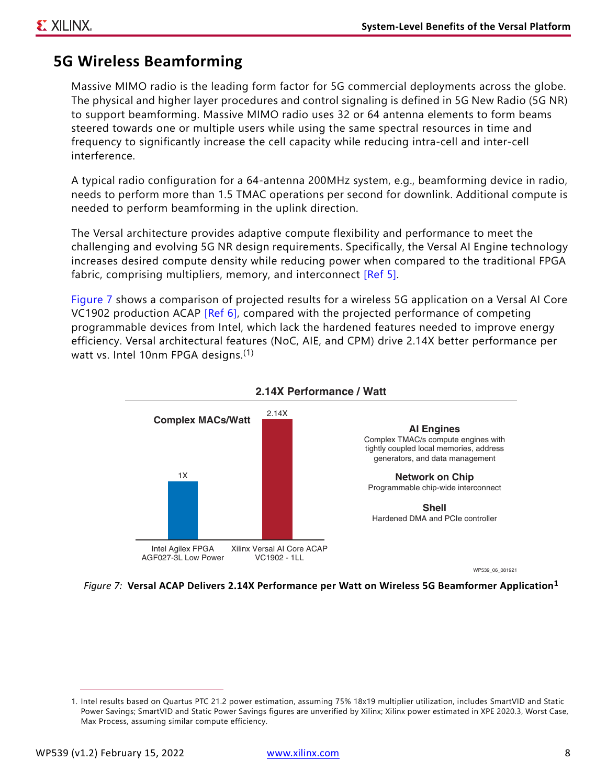### **5G Wireless Beamforming**

Massive MIMO radio is the leading form factor for 5G commercial deployments across the globe. The physical and higher layer procedures and control signaling is defined in 5G New Radio (5G NR) to support beamforming. Massive MIMO radio uses 32 or 64 antenna elements to form beams steered towards one or multiple users while using the same spectral resources in time and frequency to significantly increase the cell capacity while reducing intra-cell and inter-cell interference.

A typical radio configuration for a 64-antenna 200MHz system, e.g., beamforming device in radio, needs to perform more than 1.5 TMAC operations per second for downlink. Additional compute is needed to perform beamforming in the uplink direction.

The Versal architecture provides adaptive compute flexibility and performance to meet the challenging and evolving 5G NR design requirements. Specifically, the Versal AI Engine technology increases desired compute density while reducing power when compared to the traditional FPGA fabric, comprising multipliers, memory, and interconnect [\[Ref 5\]](#page-12-4).

[Figure 7](#page-7-0) shows a comparison of projected results for a wireless 5G application on a Versal AI Core VC1902 production ACAP [\[Ref 6\]](#page-12-5), compared with the projected performance of competing programmable devices from Intel, which lack the hardened features needed to improve energy efficiency. Versal architectural features (NoC, AIE, and CPM) drive 2.14X better performance per watt vs. Intel 10nm FPGA designs.<sup>(1)</sup>

<span id="page-7-0"></span>

*Figure 7:* **Versal ACAP Delivers 2.14X Performance per Watt on Wireless 5G Beamformer Application[1](#page-7-1)**

<span id="page-7-1"></span><sup>1.</sup> Intel results based on Quartus PTC 21.2 power estimation, assuming 75% 18x19 multiplier utilization, includes SmartVID and Static Power Savings; SmartVID and Static Power Savings figures are unverified by Xilinx; Xilinx power estimated in XPE 2020.3, Worst Case, Max Process, assuming similar compute efficiency.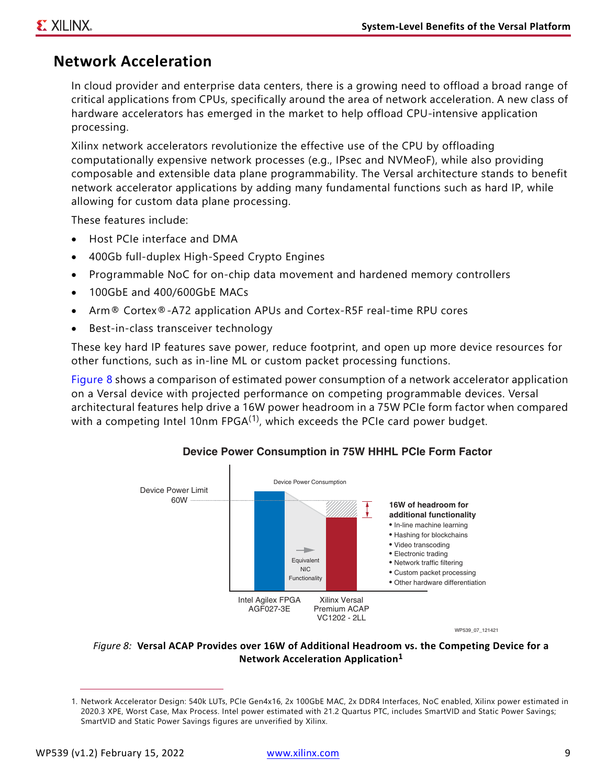### **Network Acceleration**

In cloud provider and enterprise data centers, there is a growing need to offload a broad range of critical applications from CPUs, specifically around the area of network acceleration. A new class of hardware accelerators has emerged in the market to help offload CPU-intensive application processing.

Xilinx network accelerators revolutionize the effective use of the CPU by offloading computationally expensive network processes (e.g., IPsec and NVMeoF), while also providing composable and extensible data plane programmability. The Versal architecture stands to benefit network accelerator applications by adding many fundamental functions such as hard IP, while allowing for custom data plane processing.

These features include:

- Host PCIe interface and DMA
- 400Gb full-duplex High-Speed Crypto Engines
- Programmable NoC for on-chip data movement and hardened memory controllers
- 100GbE and 400/600GbE MACs
- Arm® Cortex®-A72 application APUs and Cortex-R5F real-time RPU cores
- Best-in-class transceiver technology

These key hard IP features save power, reduce footprint, and open up more device resources for other functions, such as in-line ML or custom packet processing functions.

<span id="page-8-0"></span>[Figure 8](#page-8-0) shows a comparison of estimated power consumption of a network accelerator application on a Versal device with projected performance on competing programmable devices. Versal architectural features help drive a 16W power headroom in a 75W PCIe form factor when compared with a competing Intel 10nm  $FPGA^{(1)}$ , which exceeds the PCIe card power budget.



#### **Device Power Consumption in 75W HHHL PCIe Form Factor**

WP539\_07\_121421

#### *Figure 8:* **Versal ACAP Provides over 16W of Additional Headroom vs. the Competing Device for a Network Acceleration Application[1](#page-8-1)**

<span id="page-8-1"></span><sup>1.</sup> Network Accelerator Design: 540k LUTs, PCIe Gen4x16, 2x 100GbE MAC, 2x DDR4 Interfaces, NoC enabled, Xilinx power estimated in 2020.3 XPE, Worst Case, Max Process. Intel power estimated with 21.2 Quartus PTC, includes SmartVID and Static Power Savings; SmartVID and Static Power Savings figures are unverified by Xilinx.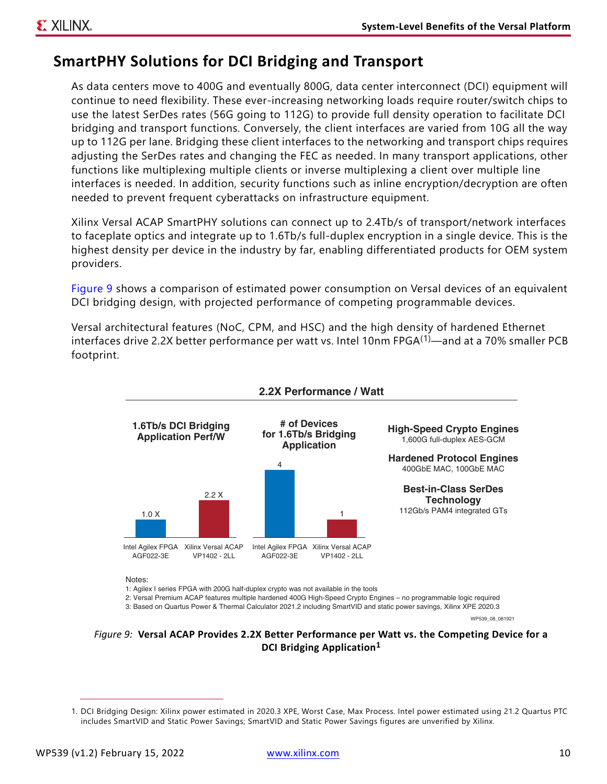### **SmartPHY Solutions for DCI Bridging and Transport**

As data centers move to 400G and eventually 800G, data center interconnect (DCI) equipment will continue to need flexibility. These ever-increasing networking loads require router/switch chips to use the latest SerDes rates (56G going to 112G) to provide full density operation to facilitate DCI bridging and transport functions. Conversely, the client interfaces are varied from 10G all the way up to 112G per lane. Bridging these client interfaces to the networking and transport chips requires adjusting the SerDes rates and changing the FEC as needed. In many transport applications, other functions like multiplexing multiple clients or inverse multiplexing a client over multiple line interfaces is needed. In addition, security functions such as inline encryption/decryption are often needed to prevent frequent cyberattacks on infrastructure equipment.

Xilinx Versal ACAP SmartPHY solutions can connect up to 2.4Tb/s of transport/network interfaces to faceplate optics and integrate up to 1.6Tb/s full-duplex encryption in a single device. This is the highest density per device in the industry by far, enabling differentiated products for OEM system providers.

[Figure 9](#page-9-1) shows a comparison of estimated power consumption on Versal devices of an equivalent DCI bridging design, with projected performance of competing programmable devices.

Versal architectural features (NoC, CPM, and HSC) and the high density of hardened Ethernet interfaces drive 2.2X better performance per watt vs. Intel 10nm FPGA $(1)$ —and at a 70% smaller PCB footprint.

<span id="page-9-1"></span>

2: Versal Premium ACAP features multiple hardened 400G High-Speed Crypto Engines – no programmable logic required

3: Based on Quartus Power & Thermal Calculator 2021.2 including SmartVID and static power savings, Xilinx XPE 2020.3

WP539\_08\_081921

#### *Figure 9:* **Versal ACAP Provides 2.2X Better Performance per Watt vs. the Competing Device for a DCI Bridging Application[1](#page-9-0)**

<span id="page-9-0"></span><sup>1.</sup> DCI Bridging Design: Xilinx power estimated in 2020.3 XPE, Worst Case, Max Process. Intel power estimated using 21.2 Quartus PTC includes SmartVID and Static Power Savings; SmartVID and Static Power Savings figures are unverified by Xilinx.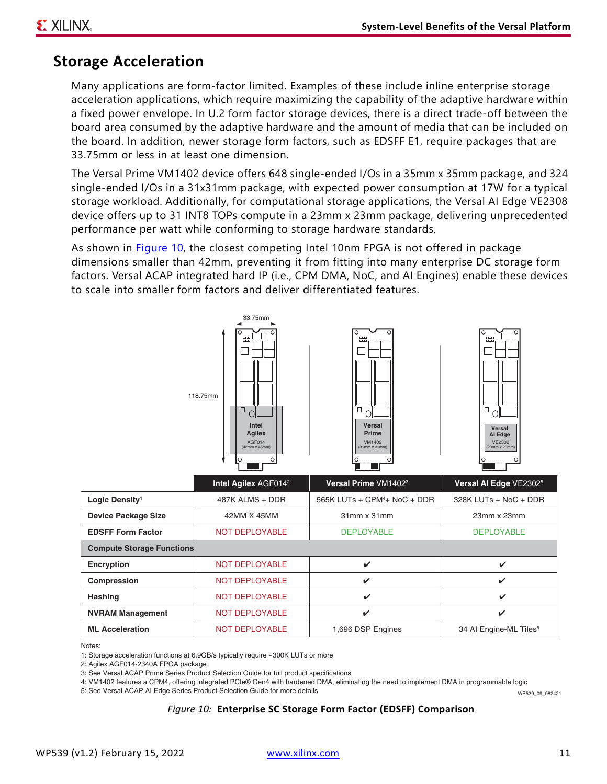### **Storage Acceleration**

Many applications are form-factor limited. Examples of these include inline enterprise storage acceleration applications, which require maximizing the capability of the adaptive hardware within a fixed power envelope. In U.2 form factor storage devices, there is a direct trade-off between the board area consumed by the adaptive hardware and the amount of media that can be included on the board. In addition, newer storage form factors, such as EDSFF E1, require packages that are 33.75mm or less in at least one dimension.

The Versal Prime VM1402 device offers 648 single-ended I/Os in a 35mm x 35mm package, and 324 single-ended I/Os in a 31x31mm package, with expected power consumption at 17W for a typical storage workload. Additionally, for computational storage applications, the Versal AI Edge VE2308 device offers up to 31 INT8 TOPs compute in a 23mm x 23mm package, delivering unprecedented performance per watt while conforming to storage hardware standards.

As shown in [Figure 10](#page-10-0), the closest competing Intel 10nm FPGA is not offered in package dimensions smaller than 42mm, preventing it from fitting into many enterprise DC storage form factors. Versal ACAP integrated hard IP (i.e., CPM DMA, NoC, and AI Engines) enable these devices to scale into smaller form factors and deliver differentiated features.

<span id="page-10-0"></span>

Notes:

1: Storage acceleration functions at 6.9GB/s typically require ~300K LUTs or more

2: Agilex AGF014-2340A FPGA package

3: See Versal ACAP Prime Series Product Selection Guide for full product specifications

4: VM1402 features a CPM4, offering integrated PCIe® Gen4 with hardened DMA, eliminating the need to implement DMA in programmable logic

5: See Versal ACAP AI Edge Series Product Selection Guide for more details

WP539\_09\_082421

#### *Figure 10:* **Enterprise SC Storage Form Factor (EDSFF) Comparison**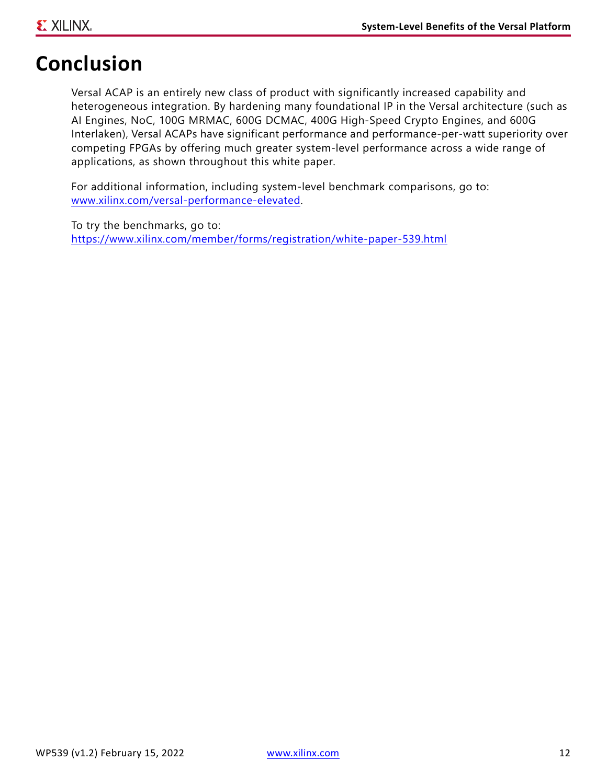## **Conclusion**

Versal ACAP is an entirely new class of product with significantly increased capability and heterogeneous integration. By hardening many foundational IP in the Versal architecture (such as AI Engines, NoC, 100G MRMAC, 600G DCMAC, 400G High-Speed Crypto Engines, and 600G Interlaken), Versal ACAPs have significant performance and performance-per-watt superiority over competing FPGAs by offering much greater system-level performance across a wide range of applications, as shown throughout this white paper.

For additional information, including system-level benchmark comparisons, go to: <www.xilinx.com/versal-performance-elevated>.

To try the benchmarks, go to: <https://www.xilinx.com/member/forms/registration/white-paper-539.html>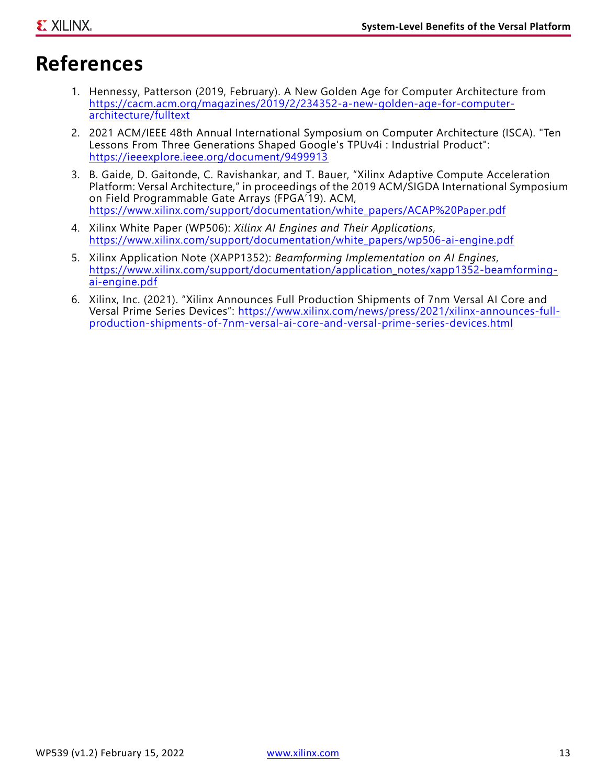## <span id="page-12-6"></span>**References**

- <span id="page-12-0"></span>1. Hennessy, Patterson (2019, February). A New Golden Age for Computer Architecture from [https://cacm.acm.org/magazines/2019/2/234352-a-new-golden-age-for-computer](https://cacm.acm.org/magazines/2019/2/234352-a-new-golden-age-for-computer-architecture/fulltext)architecture/fulltext
- <span id="page-12-1"></span>2. 2021 ACM/IEEE 48th Annual International Symposium on Computer Architecture (ISCA). "Ten Lessons From Three Generations Shaped Google's TPUv4i : Industrial Product": <https://ieeexplore.ieee.org/document/9499913>
- <span id="page-12-2"></span>3. B. Gaide, D. Gaitonde, C. Ravishankar, and T. Bauer, "Xilinx Adaptive Compute Acceleration Platform: Versal Architecture," in proceedings of the 2019 ACM/SIGDA International Symposium on Field Programmable Gate Arrays (FPGA'19). ACM, [https://www.xilinx.com/support/documentation/white\\_papers/ACAP%20Paper.pdf](https://www.xilinx.com/support/documentation/white_papers/ACAP%20Paper.pdf)
- <span id="page-12-3"></span>4. Xilinx White Paper (WP506): *Xilinx AI Engines and Their Applications*, [https://www.xilinx.com/support/documentation/white\\_papers/wp506-ai-engine.pdf](https://www.xilinx.com/support/documentation/white_papers/wp506-ai-engine.pdf)
- <span id="page-12-4"></span>5. Xilinx Application Note (XAPP1352): *Beamforming Implementation on AI Engines*, [https://www.xilinx.com/support/documentation/application\\_notes/xapp1352-beamforming](https://www.xilinx.com/support/documentation/application_notes/xapp1352-beamforming-ai-engine.pdf)ai-engine.pdf
- <span id="page-12-5"></span>6. Xilinx, Inc. (2021). "Xilinx Announces Full Production Shipments of 7nm Versal AI Core and Versal Prime Series Devices": [https://www.xilinx.com/news/press/2021/xilinx-announces-full](https://www.xilinx.com/news/press/2021/xilinx-announces-full-production-shipments-of-7nm-versal-ai-core-and-versal-prime-series-devices.html)[production-shipments-of-7nm-versal-ai-core-and-versal-prime-series-devices.html](https://www.xilinx.com/news/press/2021/xilinx-announces-full-production-shipments-of-7nm-versal-ai-core-and-versal-prime-series-devices.html)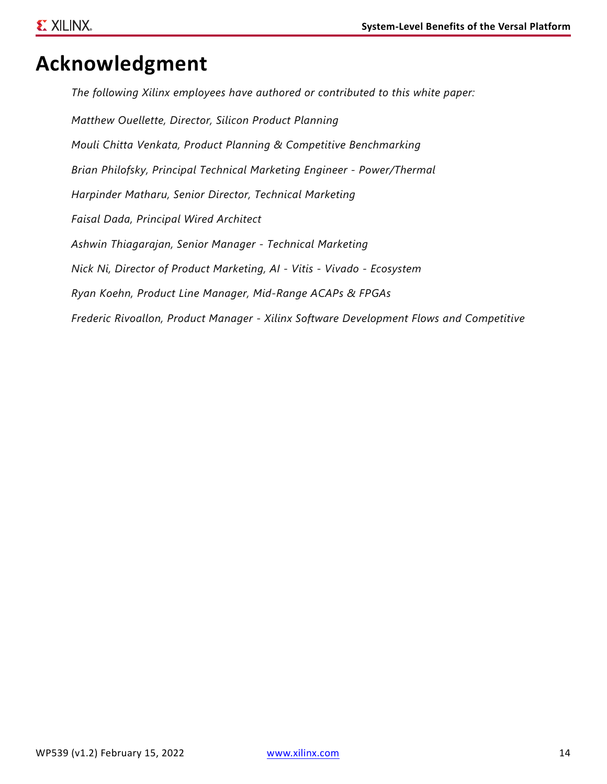## **Acknowledgment**

*The following Xilinx employees have authored or contributed to this white paper: Matthew Ouellette, Director, Silicon Product Planning Mouli Chitta Venkata, Product Planning & Competitive Benchmarking Brian Philofsky, Principal Technical Marketing Engineer - Power/Thermal Harpinder Matharu, Senior Director, Technical Marketing Faisal Dada, Principal Wired Architect Ashwin Thiagarajan, Senior Manager - Technical Marketing Nick Ni, Director of Product Marketing, AI - Vitis - Vivado - Ecosystem Ryan Koehn, Product Line Manager, Mid-Range ACAPs & FPGAs Frederic Rivoallon, Product Manager - Xilinx Software Development Flows and Competitive*